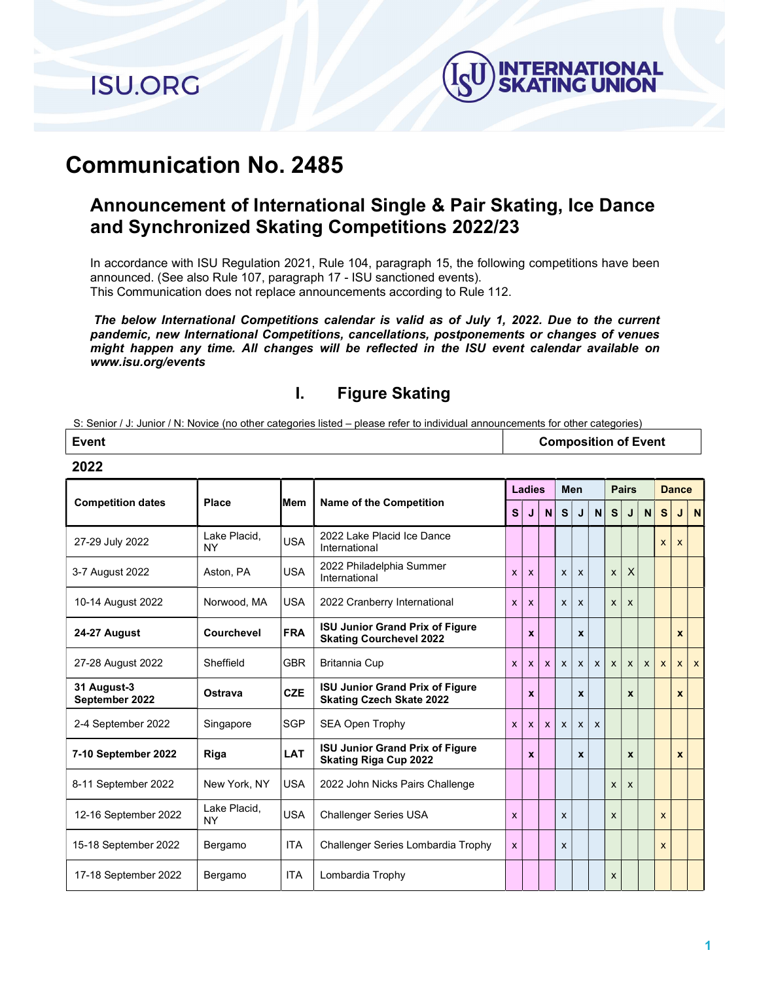**ISU.ORG** 

2022



# Communication No. 2485

## Announcement of International Single & Pair Skating, Ice Dance and Synchronized Skating Competitions 2022/23

In accordance with ISU Regulation 2021, Rule 104, paragraph 15, the following competitions have been announced. (See also Rule 107, paragraph 17 - ISU sanctioned events). This Communication does not replace announcements according to Rule 112.

The below International Competitions calendar is valid as of July 1, 2022. Due to the current pandemic, new International Competitions, cancellations, postponements or changes of venues might happen any time. All changes will be reflected in the ISU event calendar available on www.isu.org/events

### I. Figure Skating

S: Senior / J: Junior / N: Novice (no other categories listed – please refer to individual announcements for other categories)

| Event | <b>Composition of Event</b> |
|-------|-----------------------------|
|       |                             |

|                               |                           |            |                                                                           |              | Ladies                    |              |              | Men                       |                           |                | <b>Pairs</b> |              |              | <b>Dance</b> |              |
|-------------------------------|---------------------------|------------|---------------------------------------------------------------------------|--------------|---------------------------|--------------|--------------|---------------------------|---------------------------|----------------|--------------|--------------|--------------|--------------|--------------|
| <b>Competition dates</b>      | Place                     | iMem       | <b>Name of the Competition</b>                                            | $\mathbf{s}$ | J                         | $\mathbf N$  | <sub>S</sub> | J                         | N                         | s <sub>l</sub> | J            | N            | <sub>S</sub> | J            | $\mathbf N$  |
| 27-29 July 2022               | Lake Placid.<br><b>NY</b> | <b>USA</b> | 2022 Lake Placid Ice Dance<br>International                               |              |                           |              |              |                           |                           |                |              |              | X            | X            |              |
| 3-7 August 2022               | Aston, PA                 | <b>USA</b> | 2022 Philadelphia Summer<br>International                                 | $\mathsf{x}$ | $\boldsymbol{\mathsf{x}}$ |              | X            | $\boldsymbol{\mathsf{x}}$ |                           | X              | $\sf X$      |              |              |              |              |
| 10-14 August 2022             | Norwood, MA               | <b>USA</b> | 2022 Cranberry International                                              | $\mathsf{x}$ | $\mathsf{x}$              |              | $\mathsf{x}$ | X                         |                           | X              | $\mathsf{x}$ |              |              |              |              |
| 24-27 August                  | Courchevel                | <b>FRA</b> | <b>ISU Junior Grand Prix of Figure</b><br><b>Skating Courchevel 2022</b>  |              | $\boldsymbol{x}$          |              |              | X                         |                           |                |              |              |              | $\mathbf x$  |              |
| 27-28 August 2022             | Sheffield                 | <b>GBR</b> | <b>Britannia Cup</b>                                                      | $\mathsf{x}$ | $\mathsf{x}$              | $\mathsf{x}$ | $\mathsf{x}$ | $\mathsf{x}$              | $\mathsf{x}$              | $\mathsf{x}$   | $\mathsf{x}$ | $\mathsf{x}$ | $\mathsf{x}$ | $\mathsf{x}$ | $\mathsf{x}$ |
| 31 August-3<br>September 2022 | Ostrava                   | <b>CZE</b> | <b>ISU Junior Grand Prix of Figure</b><br><b>Skating Czech Skate 2022</b> |              | $\boldsymbol{x}$          |              |              | $\mathbf{x}$              |                           |                | $\mathbf{x}$ |              |              | $\mathbf x$  |              |
| 2-4 September 2022            | Singapore                 | <b>SGP</b> | <b>SEA Open Trophy</b>                                                    | $\mathbf{x}$ | $\mathbf{x}$              | $\mathbf{x}$ | $\mathsf{x}$ | $\mathsf{x}$              | $\boldsymbol{\mathsf{x}}$ |                |              |              |              |              |              |
| 7-10 September 2022           | Riga                      | <b>LAT</b> | <b>ISU Junior Grand Prix of Figure</b><br><b>Skating Riga Cup 2022</b>    |              | x                         |              |              | X                         |                           |                | $\mathbf x$  |              |              | $\mathbf x$  |              |
| 8-11 September 2022           | New York, NY              | <b>USA</b> | 2022 John Nicks Pairs Challenge                                           |              |                           |              |              |                           |                           | $\mathsf{x}$   | $\mathsf{x}$ |              |              |              |              |
| 12-16 September 2022          | Lake Placid,<br><b>NY</b> | <b>USA</b> | <b>Challenger Series USA</b>                                              | $\mathsf{x}$ |                           |              | X            |                           |                           | X              |              |              | $\mathsf{x}$ |              |              |
| 15-18 September 2022          | Bergamo                   | <b>ITA</b> | Challenger Series Lombardia Trophy                                        | $\mathbf{x}$ |                           |              | X            |                           |                           |                |              |              | $\mathbf{x}$ |              |              |
| 17-18 September 2022          | Bergamo                   | <b>ITA</b> | Lombardia Trophy                                                          |              |                           |              |              |                           |                           | X              |              |              |              |              |              |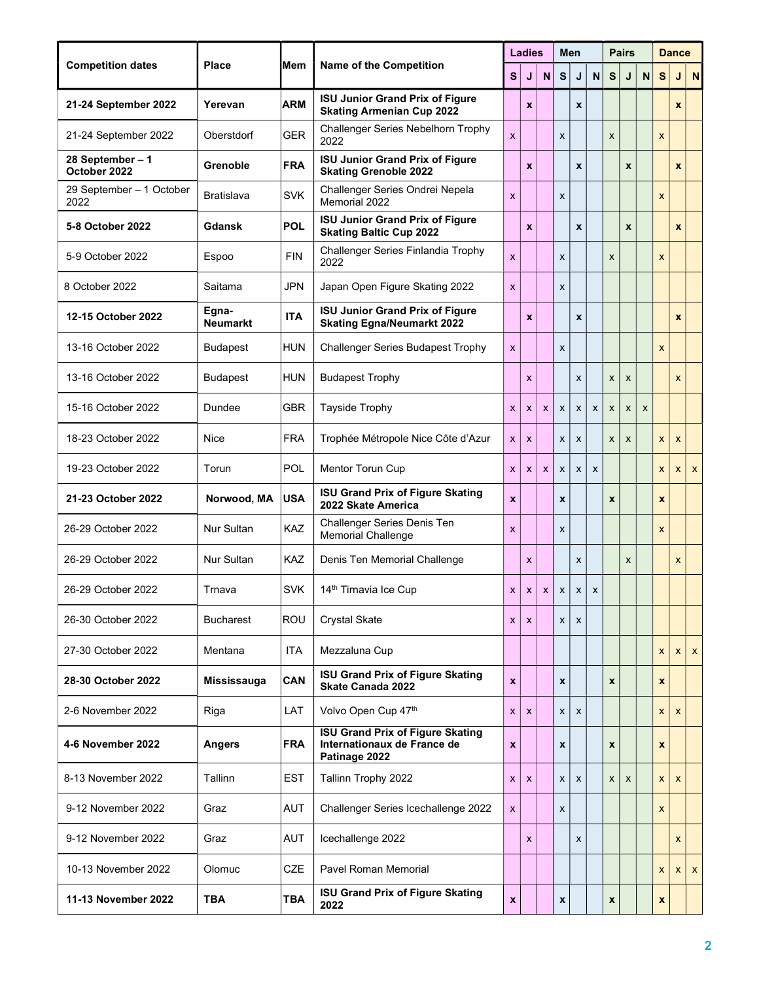|                                  |                          |            |                                                                                         |                           | <b>Ladies</b>             |                           |                           | Men                |                           |   | <b>Pairs</b> |                           |                           | <b>Dance</b>              |                           |
|----------------------------------|--------------------------|------------|-----------------------------------------------------------------------------------------|---------------------------|---------------------------|---------------------------|---------------------------|--------------------|---------------------------|---|--------------|---------------------------|---------------------------|---------------------------|---------------------------|
| <b>Competition dates</b>         | <b>Place</b>             | Mem        | <b>Name of the Competition</b>                                                          | $\mathbf{s}$              | J                         | $\mathbf N$               | S                         | J                  | $\boldsymbol{\mathsf{N}}$ | S | J            | $\boldsymbol{\mathsf{N}}$ | S                         | J                         | N                         |
| 21-24 September 2022             | Yerevan                  | <b>ARM</b> | <b>ISU Junior Grand Prix of Figure</b><br><b>Skating Armenian Cup 2022</b>              |                           | $\boldsymbol{x}$          |                           |                           | $\pmb{\mathsf{x}}$ |                           |   |              |                           |                           | $\mathbf{x}$              |                           |
| 21-24 September 2022             | Oberstdorf               | <b>GER</b> | Challenger Series Nebelhorn Trophy<br>2022                                              | $\mathsf{x}$              |                           |                           | X                         |                    |                           | X |              |                           | X                         |                           |                           |
| 28 September - 1<br>October 2022 | Grenoble                 | <b>FRA</b> | <b>ISU Junior Grand Prix of Figure</b><br><b>Skating Grenoble 2022</b>                  |                           | $\boldsymbol{x}$          |                           |                           | X                  |                           |   | $\mathbf{x}$ |                           |                           | $\mathbf{x}$              |                           |
| 29 September - 1 October<br>2022 | Bratislava               | <b>SVK</b> | Challenger Series Ondrei Nepela<br>Memorial 2022                                        | $\overline{\mathsf{x}}$   |                           |                           | $\boldsymbol{\mathsf{x}}$ |                    |                           |   |              |                           | $\mathsf{x}$              |                           |                           |
| 5-8 October 2022                 | Gdansk                   | <b>POL</b> | <b>ISU Junior Grand Prix of Figure</b><br><b>Skating Baltic Cup 2022</b>                |                           | X                         |                           |                           | X                  |                           |   | $\mathbf{x}$ |                           |                           | $\pmb{\mathsf{x}}$        |                           |
| 5-9 October 2022                 | Espoo                    | <b>FIN</b> | Challenger Series Finlandia Trophy<br>2022                                              | $\boldsymbol{\mathsf{x}}$ |                           |                           | X                         |                    |                           | X |              |                           | X                         |                           |                           |
| 8 October 2022                   | Saitama                  | JPN        | Japan Open Figure Skating 2022                                                          | $\mathsf{x}$              |                           |                           | X                         |                    |                           |   |              |                           |                           |                           |                           |
| 12-15 October 2022               | Egna-<br><b>Neumarkt</b> | <b>ITA</b> | <b>ISU Junior Grand Prix of Figure</b><br><b>Skating Egna/Neumarkt 2022</b>             |                           | X                         |                           |                           | X                  |                           |   |              |                           |                           | $\boldsymbol{x}$          |                           |
| 13-16 October 2022               | <b>Budapest</b>          | <b>HUN</b> | <b>Challenger Series Budapest Trophy</b>                                                | X                         |                           |                           | X                         |                    |                           |   |              |                           | $\boldsymbol{\mathsf{x}}$ |                           |                           |
| 13-16 October 2022               | <b>Budapest</b>          | <b>HUN</b> | <b>Budapest Trophy</b>                                                                  |                           | X                         |                           |                           | X                  |                           | X | X            |                           |                           | $\mathsf{x}$              |                           |
| 15-16 October 2022               | Dundee                   | <b>GBR</b> | <b>Tayside Trophy</b>                                                                   | $\mathsf{x}$              | X                         | $\boldsymbol{\mathsf{x}}$ | $\boldsymbol{\mathsf{x}}$ | $\pmb{\chi}$       | x                         | X | X            | X                         |                           |                           |                           |
| 18-23 October 2022               | Nice                     | <b>FRA</b> | Trophée Métropole Nice Côte d'Azur                                                      | $\boldsymbol{\mathsf{x}}$ | $\boldsymbol{\mathsf{x}}$ |                           | X                         | X                  |                           | X | X            |                           | X                         | $\boldsymbol{\mathsf{x}}$ |                           |
| 19-23 October 2022               | Torun                    | POL        | Mentor Torun Cup                                                                        | $\boldsymbol{\mathsf{x}}$ | X                         | X                         | $\boldsymbol{\mathsf{x}}$ | $\pmb{\chi}$       | $\boldsymbol{\mathsf{x}}$ |   |              |                           | X                         | $\boldsymbol{x}$          | $\boldsymbol{\mathsf{x}}$ |
| 21-23 October 2022               | Norwood, MA              | <b>USA</b> | <b>ISU Grand Prix of Figure Skating</b><br>2022 Skate America                           | $\mathbf x$               |                           |                           | $\boldsymbol{x}$          |                    |                           | X |              |                           | X                         |                           |                           |
| 26-29 October 2022               | <b>Nur Sultan</b>        | KAZ        | <b>Challenger Series Denis Ten</b><br><b>Memorial Challenge</b>                         | $\mathsf{x}$              |                           |                           | $\boldsymbol{\mathsf{x}}$ |                    |                           |   |              |                           | X                         |                           |                           |
| 26-29 October 2022               | <b>Nur Sultan</b>        | KAZ        | Denis Ten Memorial Challenge                                                            |                           | X                         |                           |                           | X                  |                           |   | X            |                           |                           | $\boldsymbol{x}$          |                           |
| 26-29 October 2022               | Trnava                   | <b>SVK</b> | 14th Tirnavia Ice Cup                                                                   | X                         | X                         | X                         | X                         | X                  | X                         |   |              |                           |                           |                           |                           |
| 26-30 October 2022               | <b>Bucharest</b>         | ROU        | <b>Crystal Skate</b>                                                                    | X                         | $\mathsf{x}$              |                           | X                         | $\mathsf{x}$       |                           |   |              |                           |                           |                           |                           |
| 27-30 October 2022               | Mentana                  | <b>ITA</b> | Mezzaluna Cup                                                                           |                           |                           |                           |                           |                    |                           |   |              |                           | $\mathsf{x}$              | X                         | $\mathsf{x}$              |
| 28-30 October 2022               | Mississauga              | CAN        | <b>ISU Grand Prix of Figure Skating</b><br><b>Skate Canada 2022</b>                     | $\mathbf{x}$              |                           |                           | $\pmb{\mathsf{x}}$        |                    |                           | X |              |                           | $\boldsymbol{x}$          |                           |                           |
| 2-6 November 2022                | Riga                     | LAT        | Volvo Open Cup 47th                                                                     | X                         | x                         |                           | X                         | X                  |                           |   |              |                           | X                         | X                         |                           |
| 4-6 November 2022                | <b>Angers</b>            | <b>FRA</b> | <b>ISU Grand Prix of Figure Skating</b><br>Internationaux de France de<br>Patinage 2022 | $\boldsymbol{x}$          |                           |                           | $\pmb{\mathsf{x}}$        |                    |                           | X |              |                           | $\boldsymbol{x}$          |                           |                           |
| 8-13 November 2022               | Tallinn                  | <b>EST</b> | Tallinn Trophy 2022                                                                     | X                         | X                         |                           | X                         | X                  |                           | X | X            |                           | $\mathsf{x}$              | $\mathsf{x}$              |                           |
| 9-12 November 2022               | Graz                     | <b>AUT</b> | Challenger Series Icechallenge 2022                                                     | $\boldsymbol{\mathsf{x}}$ |                           |                           | x                         |                    |                           |   |              |                           | X                         |                           |                           |
| 9-12 November 2022               | Graz                     | <b>AUT</b> | Icechallenge 2022                                                                       |                           | X                         |                           |                           | X                  |                           |   |              |                           |                           | X                         |                           |
| 10-13 November 2022              | Olomuc                   | <b>CZE</b> | <b>Pavel Roman Memorial</b>                                                             |                           |                           |                           |                           |                    |                           |   |              |                           | X                         | X                         | $\mathsf{x}$              |
| 11-13 November 2022              | <b>TBA</b>               | <b>TBA</b> | <b>ISU Grand Prix of Figure Skating</b><br>2022                                         | $\mathbf x$               |                           |                           | $\pmb{\mathsf{x}}$        |                    |                           | x |              |                           | $\pmb{\mathsf{x}}$        |                           |                           |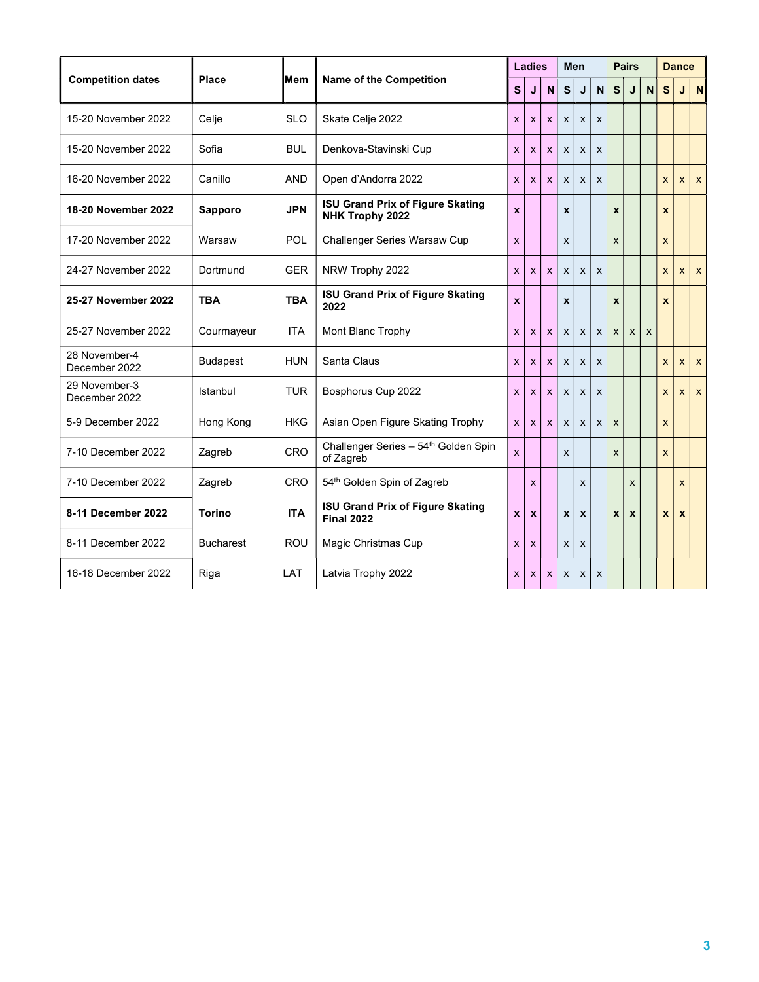|                                |                  |            |                                                               | <b>Ladies</b>             |                           |                           |                    | Men                       |              |              |              | <b>Pairs</b> |                    |                    |                           | <b>Dance</b> |  |
|--------------------------------|------------------|------------|---------------------------------------------------------------|---------------------------|---------------------------|---------------------------|--------------------|---------------------------|--------------|--------------|--------------|--------------|--------------------|--------------------|---------------------------|--------------|--|
| <b>Competition dates</b>       | <b>Place</b>     | iMem       | <b>Name of the Competition</b>                                | $\mathbf{s}$              | J                         | N                         | $\mathbf{s}$       | J                         | $\mathbf N$  | S            | J            | N            | S                  |                    | N                         |              |  |
| 15-20 November 2022            | Celje            | <b>SLO</b> | Skate Celje 2022                                              | X                         | X                         | $\mathsf{x}$              | X                  | $\boldsymbol{\mathsf{x}}$ | X            |              |              |              |                    |                    |                           |              |  |
| 15-20 November 2022            | Sofia            | <b>BUL</b> | Denkova-Stavinski Cup                                         | $\boldsymbol{\mathsf{x}}$ | $\boldsymbol{\mathsf{x}}$ | $\mathsf{x}$              | X                  | $\boldsymbol{\mathsf{x}}$ | $\mathsf{x}$ |              |              |              |                    |                    |                           |              |  |
| 16-20 November 2022            | Canillo          | <b>AND</b> | Open d'Andorra 2022                                           | $\mathsf{x}$              | $\mathsf{x}$              | $\mathsf{x}$              | $\mathsf{x}$       | $\boldsymbol{\mathsf{x}}$ | $\mathsf{x}$ |              |              |              | $\mathsf{x}$       | $\mathsf{x}$       | $\boldsymbol{\mathsf{x}}$ |              |  |
| 18-20 November 2022            | Sapporo          | <b>JPN</b> | <b>ISU Grand Prix of Figure Skating</b><br>NHK Trophy 2022    | $\mathbf{x}$              |                           |                           | $\pmb{\mathsf{x}}$ |                           |              | $\mathbf{x}$ |              |              | $\boldsymbol{x}$   |                    |                           |              |  |
| 17-20 November 2022            | Warsaw           | POL        | Challenger Series Warsaw Cup                                  | X                         |                           |                           | X                  |                           |              | X            |              |              | X                  |                    |                           |              |  |
| 24-27 November 2022            | Dortmund         | <b>GER</b> | NRW Trophy 2022                                               | $\mathsf{x}$              | X                         | X                         | X                  | $\boldsymbol{\mathsf{x}}$ | $\mathsf{x}$ |              |              |              | $\mathsf{x}$       | X                  | $\mathsf{x}$              |              |  |
| 25-27 November 2022            | <b>TBA</b>       | <b>TBA</b> | <b>ISU Grand Prix of Figure Skating</b><br>2022               | $\mathbf{x}$              |                           |                           | $\pmb{\mathsf{x}}$ |                           |              | X            |              |              | $\boldsymbol{x}$   |                    |                           |              |  |
| 25-27 November 2022            | Courmayeur       | <b>ITA</b> | Mont Blanc Trophy                                             | $\mathbf{x}$              | X                         | X                         | $\mathsf{x}$       | $\boldsymbol{\mathsf{x}}$ | $\mathsf{x}$ | X            | $\mathsf{x}$ | X            |                    |                    |                           |              |  |
| 28 November-4<br>December 2022 | <b>Budapest</b>  | <b>HUN</b> | Santa Claus                                                   | $\mathsf{x}$              | X                         | $\mathsf{x}$              | X                  | $\boldsymbol{\mathsf{x}}$ | $\mathsf{x}$ |              |              |              | $\mathsf{x}$       | $\mathsf{x}$       | $\mathsf{x}$              |              |  |
| 29 November-3<br>December 2022 | Istanbul         | <b>TUR</b> | Bosphorus Cup 2022                                            | X                         | X                         | $\mathsf{x}$              | $\mathsf{x}$       | $\boldsymbol{\mathsf{x}}$ | X            |              |              |              | X                  | $\mathsf{x}$       | $\mathsf{x}$              |              |  |
| 5-9 December 2022              | Hong Kong        | <b>HKG</b> | Asian Open Figure Skating Trophy                              | $\mathsf{x}$              | $\mathsf{x}$              | $\mathsf{x}$              | $\mathsf{x}$       | $\boldsymbol{\mathsf{x}}$ | $\mathsf{x}$ | $\mathsf{x}$ |              |              | X                  |                    |                           |              |  |
| 7-10 December 2022             | Zagreb           | <b>CRO</b> | Challenger Series - 54 <sup>th</sup> Golden Spin<br>of Zagreb | $\mathsf{x}$              |                           |                           | X                  |                           |              | X            |              |              | X                  |                    |                           |              |  |
| 7-10 December 2022             | Zagreb           | <b>CRO</b> | 54th Golden Spin of Zagreb                                    |                           | X                         |                           |                    | X                         |              |              | X            |              |                    | $\mathsf{x}$       |                           |              |  |
| 8-11 December 2022             | <b>Torino</b>    | <b>ITA</b> | <b>ISU Grand Prix of Figure Skating</b><br><b>Final 2022</b>  | $\mathbf{x}$              | $\boldsymbol{x}$          |                           | <b>x</b>           | $\boldsymbol{x}$          |              | X            | $\pmb{\chi}$ |              | $\pmb{\mathsf{x}}$ | $\pmb{\mathsf{x}}$ |                           |              |  |
| 8-11 December 2022             | <b>Bucharest</b> | <b>ROU</b> | Magic Christmas Cup                                           | X                         | X                         |                           | X                  | $\boldsymbol{\mathsf{x}}$ |              |              |              |              |                    |                    |                           |              |  |
| 16-18 December 2022            | Riga             | LAT        | Latvia Trophy 2022                                            | X                         | <b>X</b>                  | $\boldsymbol{\mathsf{x}}$ | X                  | $\boldsymbol{\mathsf{x}}$ | X            |              |              |              |                    |                    |                           |              |  |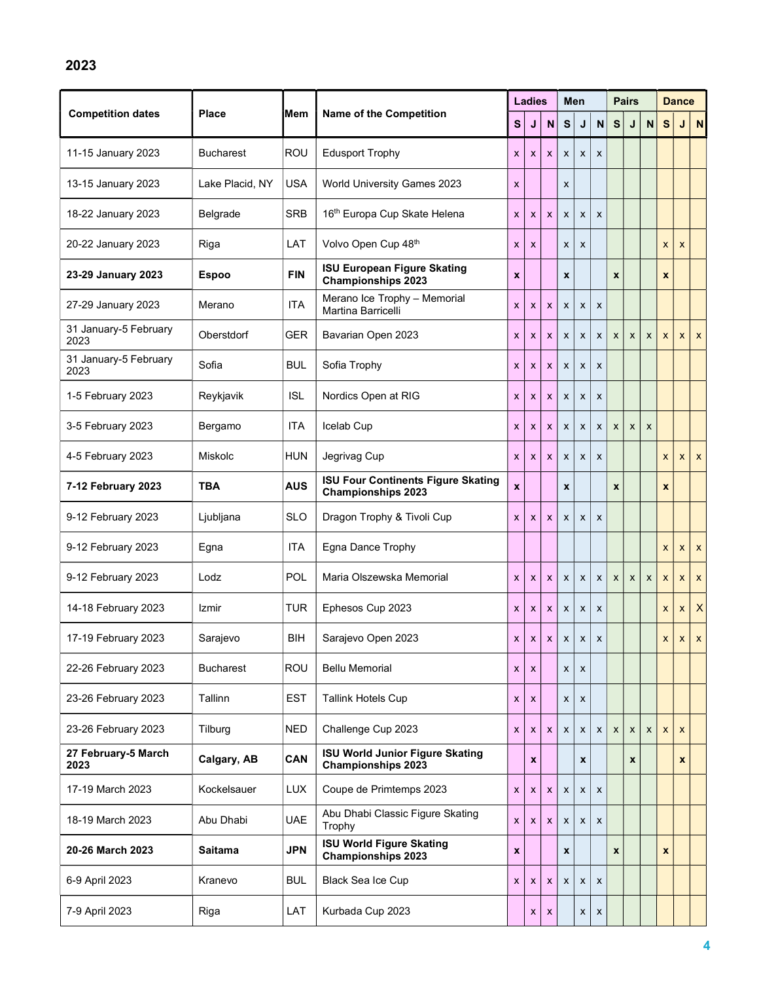|                               |                  |            |                                                                        |                           | <b>Ladies</b>             |                           |                    | Men              |                           |                           | <b>Pairs</b>     |                    |                    | <b>Dance</b>     |                           |
|-------------------------------|------------------|------------|------------------------------------------------------------------------|---------------------------|---------------------------|---------------------------|--------------------|------------------|---------------------------|---------------------------|------------------|--------------------|--------------------|------------------|---------------------------|
| <b>Competition dates</b>      | <b>Place</b>     | iMem       | <b>Name of the Competition</b>                                         | S                         | J                         | N                         | S                  | J                | $\mathsf{N}$              | S                         | J                | $\mathsf{N}$       | S                  | J                | N                         |
| 11-15 January 2023            | <b>Bucharest</b> | <b>ROU</b> | <b>Edusport Trophy</b>                                                 | $\boldsymbol{\mathsf{x}}$ | $\boldsymbol{\mathsf{x}}$ | $\boldsymbol{\mathsf{x}}$ | X                  | X                | X                         |                           |                  |                    |                    |                  |                           |
| 13-15 January 2023            | Lake Placid, NY  | <b>USA</b> | World University Games 2023                                            | $\boldsymbol{\mathsf{x}}$ |                           |                           | X                  |                  |                           |                           |                  |                    |                    |                  |                           |
| 18-22 January 2023            | Belgrade         | <b>SRB</b> | 16th Europa Cup Skate Helena                                           | $\boldsymbol{\mathsf{x}}$ | X                         | $\mathsf{x}$              | X                  | X                | X                         |                           |                  |                    |                    |                  |                           |
| 20-22 January 2023            | Riga             | LAT        | Volvo Open Cup 48th                                                    | $\boldsymbol{\mathsf{x}}$ | X                         |                           | X                  | X                |                           |                           |                  |                    | X                  | X                |                           |
| 23-29 January 2023            | <b>Espoo</b>     | <b>FIN</b> | <b>ISU European Figure Skating</b><br><b>Championships 2023</b>        | $\boldsymbol{x}$          |                           |                           | $\pmb{\chi}$       |                  |                           | $\boldsymbol{x}$          |                  |                    | X                  |                  |                           |
| 27-29 January 2023            | Merano           | <b>ITA</b> | Merano Ice Trophy - Memorial<br>Martina Barricelli                     | $\boldsymbol{\mathsf{x}}$ | $\boldsymbol{\mathsf{x}}$ | $\boldsymbol{\mathsf{x}}$ | $\pmb{\chi}$       | X                | X                         |                           |                  |                    |                    |                  |                           |
| 31 January-5 February<br>2023 | Oberstdorf       | <b>GER</b> | Bavarian Open 2023                                                     | $\boldsymbol{\mathsf{x}}$ | $\boldsymbol{\mathsf{x}}$ | $\boldsymbol{\mathsf{x}}$ | $\pmb{\mathsf{X}}$ | X                | $\boldsymbol{\mathsf{x}}$ | $\boldsymbol{\mathsf{x}}$ | X                | X                  | X                  | X                | $\boldsymbol{\mathsf{x}}$ |
| 31 January-5 February<br>2023 | Sofia            | <b>BUL</b> | Sofia Trophy                                                           | $\boldsymbol{\mathsf{x}}$ | $\boldsymbol{\mathsf{x}}$ | $\boldsymbol{\mathsf{x}}$ | $\pmb{\mathsf{X}}$ | X                | X                         |                           |                  |                    |                    |                  |                           |
| 1-5 February 2023             | Reykjavik        | <b>ISL</b> | Nordics Open at RIG                                                    | $\boldsymbol{\mathsf{x}}$ | $\boldsymbol{\mathsf{x}}$ | $\boldsymbol{\mathsf{x}}$ | $\pmb{\chi}$       | X                | X                         |                           |                  |                    |                    |                  |                           |
| 3-5 February 2023             | Bergamo          | ITA        | Icelab Cup                                                             | $\boldsymbol{\mathsf{x}}$ | $\boldsymbol{\mathsf{x}}$ | $\boldsymbol{\mathsf{x}}$ | $\pmb{\chi}$       | X                | $\boldsymbol{\mathsf{x}}$ | X                         | X                | $\pmb{\mathsf{x}}$ |                    |                  |                           |
| 4-5 February 2023             | Miskolc          | <b>HUN</b> | Jegrivag Cup                                                           | $\mathsf{x}$              | $\boldsymbol{\mathsf{x}}$ | $\boldsymbol{\mathsf{x}}$ | $\pmb{\chi}$       | X                | X                         |                           |                  |                    | X                  | X                | $\boldsymbol{\mathsf{x}}$ |
| 7-12 February 2023            | <b>TBA</b>       | <b>AUS</b> | <b>ISU Four Continents Figure Skating</b><br><b>Championships 2023</b> | $\boldsymbol{x}$          |                           |                           | $\pmb{\chi}$       |                  |                           | $\pmb{\mathsf{x}}$        |                  |                    | $\pmb{\mathsf{x}}$ |                  |                           |
| 9-12 February 2023            | Ljubljana        | <b>SLO</b> | Dragon Trophy & Tivoli Cup                                             | $\mathsf{x}$              | $\boldsymbol{\mathsf{x}}$ | $\boldsymbol{\mathsf{x}}$ | $\pmb{\chi}$       | X                | $\mathsf{x}$              |                           |                  |                    |                    |                  |                           |
| 9-12 February 2023            | Egna             | <b>ITA</b> | Egna Dance Trophy                                                      |                           |                           |                           |                    |                  |                           |                           |                  |                    | X                  | X                | $\boldsymbol{\mathsf{x}}$ |
| 9-12 February 2023            | Lodz             | POL        | Maria Olszewska Memorial                                               | $\boldsymbol{\mathsf{x}}$ | $\boldsymbol{\mathsf{x}}$ | $\boldsymbol{\mathsf{x}}$ | X                  | X                | $\boldsymbol{\mathsf{x}}$ | $\boldsymbol{\mathsf{x}}$ | X                | X                  | X                  | X                | $\boldsymbol{\mathsf{x}}$ |
| 14-18 February 2023           | Izmir            | <b>TUR</b> | Ephesos Cup 2023                                                       | $\boldsymbol{\mathsf{x}}$ | $\boldsymbol{\mathsf{x}}$ | X                         | X                  | X                | X                         |                           |                  |                    | X                  | X                | $\times$                  |
| 17-19 February 2023           | Sarajevo         | BIH        | Sarajevo Open 2023                                                     | $\mathsf{x}$              | $\boldsymbol{x}$          | $\mathsf{x}$              | X                  | X                | $\boldsymbol{\mathsf{x}}$ |                           |                  |                    | X                  | $\boldsymbol{x}$ | $\mathsf{x}$              |
| 22-26 February 2023           | <b>Bucharest</b> | <b>ROU</b> | <b>Bellu Memorial</b>                                                  | $\boldsymbol{\mathsf{x}}$ | X                         |                           | X                  | X                |                           |                           |                  |                    |                    |                  |                           |
| 23-26 February 2023           | Tallinn          | <b>EST</b> | <b>Tallink Hotels Cup</b>                                              | $\boldsymbol{\mathsf{x}}$ | X                         |                           | X                  | X                |                           |                           |                  |                    |                    |                  |                           |
| 23-26 February 2023           | Tilburg          | <b>NED</b> | Challenge Cup 2023                                                     | X                         | X                         | $\mathsf{x}$              | $\pmb{\chi}$       | X                | $\boldsymbol{\mathsf{x}}$ | $\boldsymbol{\mathsf{x}}$ | X                | X                  | X                  | X                |                           |
| 27 February-5 March<br>2023   | Calgary, AB      | CAN        | <b>ISU World Junior Figure Skating</b><br><b>Championships 2023</b>    |                           | $\pmb{\mathsf{x}}$        |                           |                    | $\boldsymbol{x}$ |                           |                           | $\boldsymbol{x}$ |                    |                    | $\boldsymbol{x}$ |                           |
| 17-19 March 2023              | Kockelsauer      | <b>LUX</b> | Coupe de Primtemps 2023                                                | $\boldsymbol{\mathsf{x}}$ | X                         | $\boldsymbol{\mathsf{x}}$ | $\pmb{\mathsf{X}}$ | X                | X                         |                           |                  |                    |                    |                  |                           |
| 18-19 March 2023              | Abu Dhabi        | <b>UAE</b> | Abu Dhabi Classic Figure Skating<br>Trophy                             | $\mathsf{x}$              | X                         | $\mathsf{x}$              | $\pmb{\chi}$       | X                | X                         |                           |                  |                    |                    |                  |                           |
| 20-26 March 2023              | <b>Saitama</b>   | <b>JPN</b> | <b>ISU World Figure Skating</b><br><b>Championships 2023</b>           | $\boldsymbol{x}$          |                           |                           | $\pmb{\mathsf{x}}$ |                  |                           | X                         |                  |                    | $\boldsymbol{x}$   |                  |                           |
| 6-9 April 2023                | Kranevo          | <b>BUL</b> | <b>Black Sea Ice Cup</b>                                               | $\boldsymbol{\mathsf{x}}$ | $\boldsymbol{\mathsf{x}}$ | $\boldsymbol{\mathsf{x}}$ | $\pmb{\chi}$       | X                | X                         |                           |                  |                    |                    |                  |                           |
| 7-9 April 2023                | Riga             | LAT        | Kurbada Cup 2023                                                       |                           | X                         | $\pmb{\mathsf{x}}$        |                    | X                | X                         |                           |                  |                    |                    |                  |                           |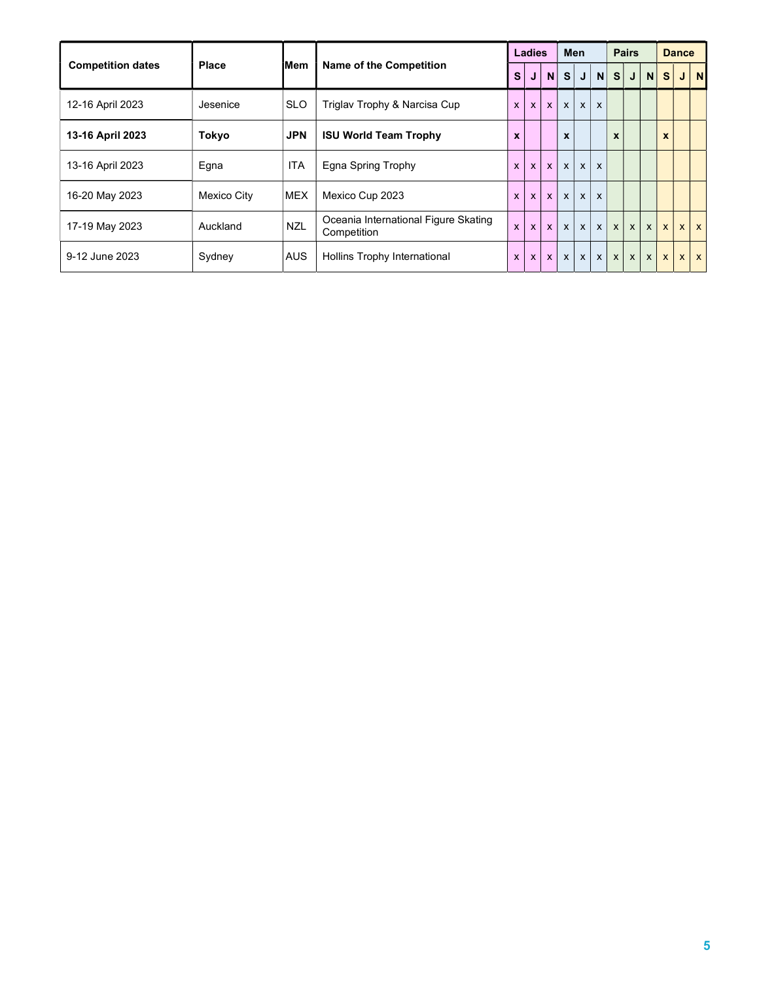|                          |                    |            |                                                     |              | Ladies       |                |                  | <b>Men</b>   |              |              | <b>Pairs</b> |              |                  | <b>Dance</b> |            |
|--------------------------|--------------------|------------|-----------------------------------------------------|--------------|--------------|----------------|------------------|--------------|--------------|--------------|--------------|--------------|------------------|--------------|------------|
| <b>Competition dates</b> | <b>Place</b>       | iMem       | <b>Name of the Competition</b>                      | <b>S</b>     | J            | N <sub>1</sub> | S                | J            | N            | S            | J            | N            | s                |              | $J$ N      |
| 12-16 April 2023         | Jesenice           | <b>SLO</b> | Triglav Trophy & Narcisa Cup                        | $\mathsf{x}$ | $\mathsf{x}$ | $\mathsf{x}$   | $\mathsf{x}$     | $\mathsf{x}$ | X            |              |              |              |                  |              |            |
| 13-16 April 2023         | Tokyo              | <b>JPN</b> | <b>ISU World Team Trophy</b>                        | $\mathbf{x}$ |              |                | $\boldsymbol{x}$ |              |              | X            |              |              | $\boldsymbol{x}$ |              |            |
| 13-16 April 2023         | Egna               | <b>ITA</b> | Egna Spring Trophy                                  | $\mathbf{x}$ | $\mathsf{x}$ | $\mathbf{x}$   | $\mathsf{x}$     | $\mathbf{x}$ | $\mathsf{x}$ |              |              |              |                  |              |            |
| 16-20 May 2023           | <b>Mexico City</b> | <b>MEX</b> | Mexico Cup 2023                                     | $\mathsf{x}$ | $\mathsf{x}$ | $\mathsf{x}$   | $\mathsf{x}$     | $\mathsf{x}$ | X            |              |              |              |                  |              |            |
| 17-19 May 2023           | Auckland           | <b>NZL</b> | Oceania International Figure Skating<br>Competition | $\mathbf{x}$ | $\mathsf{x}$ | $\mathbf{x}$   | $\mathsf{x}$     | $\mathsf{x}$ | $\mathsf{x}$ | $\mathsf{x}$ | $\mathsf{x}$ | $\mathsf{x}$ | $\mathsf{x}$     |              | $x \mid x$ |
| 9-12 June 2023           | Sydney             | <b>AUS</b> | Hollins Trophy International                        | $\mathsf{x}$ | $\mathsf{x}$ | $\mathsf{x}$   | $\mathsf{x}$     | $\mathsf{x}$ | $\mathsf{x}$ | $\mathsf{x}$ | $\mathsf{x}$ | $\mathsf{x}$ | $\mathbf{x}$     |              | $x \mid x$ |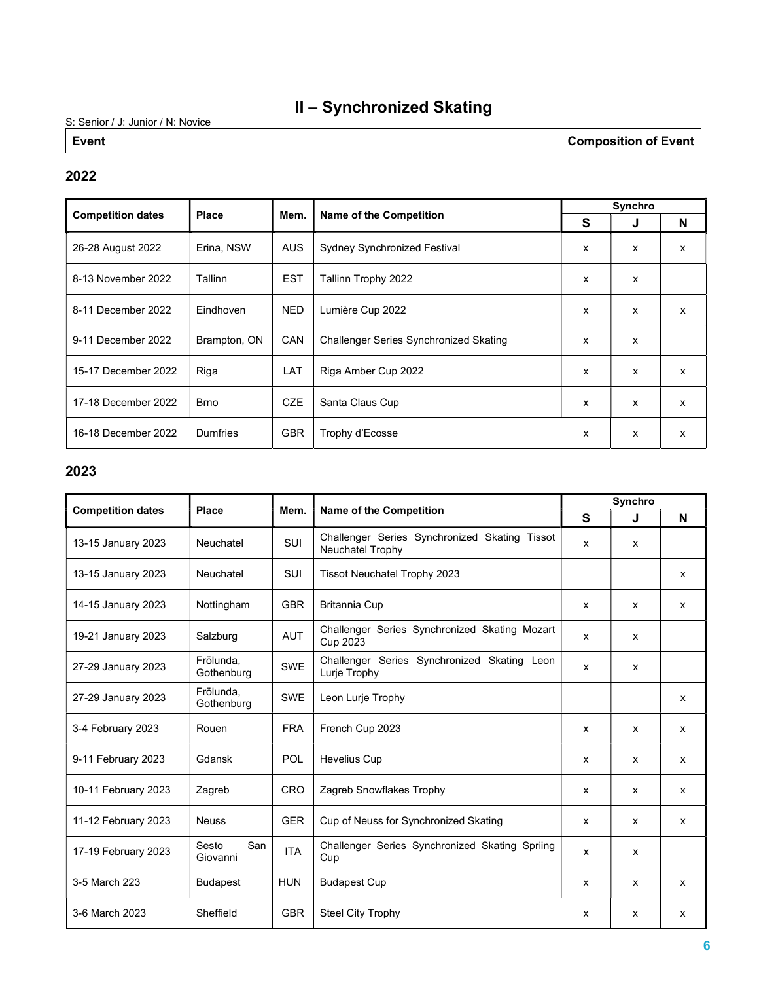## II – Synchronized Skating

S: Senior / J: Junior / N: Novice

Event **Composition of Event** 

#### 2022

|                          | Place        |            |                                        | Synchro |                           |                           |  |  |  |  |  |  |
|--------------------------|--------------|------------|----------------------------------------|---------|---------------------------|---------------------------|--|--|--|--|--|--|
| <b>Competition dates</b> |              | Mem.       | Name of the Competition                | S       | J                         | N                         |  |  |  |  |  |  |
| 26-28 August 2022        | Erina, NSW   | AUS        | <b>Sydney Synchronized Festival</b>    | X       | X                         | $\mathsf{x}$              |  |  |  |  |  |  |
| 8-13 November 2022       | Tallinn      | <b>EST</b> | Tallinn Trophy 2022                    | X       | X                         |                           |  |  |  |  |  |  |
| 8-11 December 2022       | Eindhoven    | <b>NED</b> | Lumière Cup 2022                       | X       | X                         | $\boldsymbol{\mathsf{x}}$ |  |  |  |  |  |  |
| 9-11 December 2022       | Brampton, ON | CAN        | Challenger Series Synchronized Skating | X       | X                         |                           |  |  |  |  |  |  |
| 15-17 December 2022      | Riga         | LAT        | Riga Amber Cup 2022                    | x       | $\boldsymbol{\mathsf{x}}$ | $\mathsf{x}$              |  |  |  |  |  |  |
| 17-18 December 2022      | <b>Brno</b>  | <b>CZE</b> | Santa Claus Cup                        | X       | $\mathbf{x}$              | $\mathsf{x}$              |  |  |  |  |  |  |
| 16-18 December 2022      | Dumfries     | <b>GBR</b> | Trophy d'Ecosse                        | x       | X                         | $\mathsf{x}$              |  |  |  |  |  |  |

#### 2023

|                          | Place                    |            |                                                                   |   | Synchro      |   |
|--------------------------|--------------------------|------------|-------------------------------------------------------------------|---|--------------|---|
| <b>Competition dates</b> |                          | Mem.       | <b>Name of the Competition</b>                                    | S | J            | N |
| 13-15 January 2023       | Neuchatel                | SUI        | Challenger Series Synchronized Skating Tissot<br>Neuchatel Trophy | x | x            |   |
| 13-15 January 2023       | Neuchatel                | SUI        | Tissot Neuchatel Trophy 2023                                      |   |              | X |
| 14-15 January 2023       | Nottingham               | <b>GBR</b> | <b>Britannia Cup</b>                                              | x | x            | X |
| 19-21 January 2023       | Salzburg                 | <b>AUT</b> | Challenger Series Synchronized Skating Mozart<br>Cup 2023         | X | X            |   |
| 27-29 January 2023       | Frölunda,<br>Gothenburg  | <b>SWE</b> | Challenger Series Synchronized Skating Leon<br>Lurje Trophy       | X | X            |   |
| 27-29 January 2023       | Frölunda,<br>Gothenburg  | <b>SWE</b> | Leon Lurje Trophy                                                 |   |              | X |
| 3-4 February 2023        | Rouen                    | <b>FRA</b> | French Cup 2023                                                   | x | x            | X |
| 9-11 February 2023       | Gdansk                   | POL        | <b>Hevelius Cup</b>                                               | x | x            | X |
| 10-11 February 2023      | Zagreb                   | <b>CRO</b> | Zagreb Snowflakes Trophy                                          | x | x            | X |
| 11-12 February 2023      | <b>Neuss</b>             | <b>GER</b> | Cup of Neuss for Synchronized Skating                             | X | $\mathsf{x}$ | X |
| 17-19 February 2023      | Sesto<br>San<br>Giovanni | <b>ITA</b> | Challenger Series Synchronized Skating Spriing<br>Cup             | X | x            |   |
| 3-5 March 223            | <b>Budapest</b>          | <b>HUN</b> | <b>Budapest Cup</b>                                               | x | x            | X |
| 3-6 March 2023           | Sheffield                | <b>GBR</b> | <b>Steel City Trophy</b>                                          | x | x            | X |